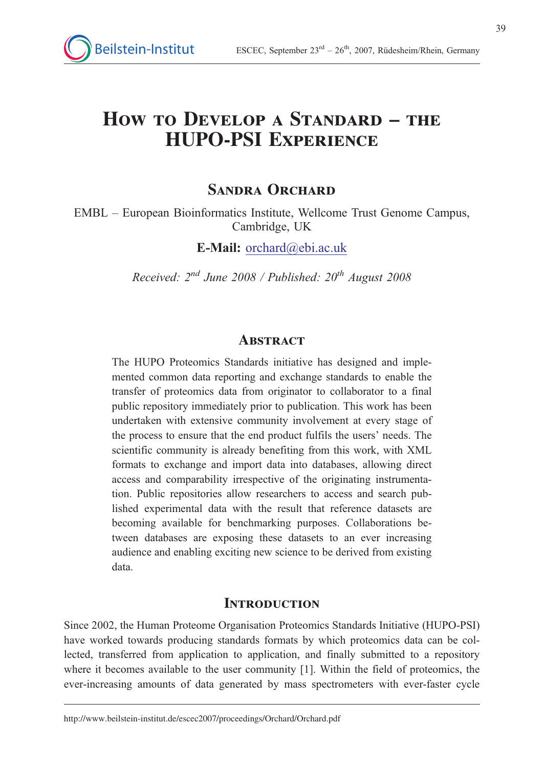# How to Develop a Standard – the HUPO-PSI Experience

## SANDRA ORCHARD

EMBL – European Bioinformatics Institute, Wellcome Trust Genome Campus, Cambridge, UK

E-Mail: orchard@ebi.ac.uk

Received:  $2^{nd}$  June 2008 / Published:  $20^{th}$  August 2008

#### **ABSTRACT**

The HUPO Proteomics Standards initiative has designed and implemented common data reporting and exchange standards to enable the transfer of proteomics data from originator to collaborator to a final public repository immediately prior to publication. This work has been undertaken with extensive community involvement at every stage of the process to ensure that the end product fulfils the users' needs. The scientific community is already benefiting from this work, with XML formats to exchange and import data into databases, allowing direct access and comparability irrespective of the originating instrumentation. Public repositories allow researchers to access and search published experimental data with the result that reference datasets are becoming available for benchmarking purposes. Collaborations between databases are exposing these datasets to an ever increasing audience and enabling exciting new science to be derived from existing data.

### **INTRODUCTION**

Since 2002, the Human Proteome Organisation Proteomics Standards Initiative (HUPO-PSI) have worked towards producing standards formats by which proteomics data can be collected, transferred from application to application, and finally submitted to a repository where it becomes available to the user community [1]. Within the field of proteomics, the ever-increasing amounts of data generated by mass spectrometers with ever-faster cycle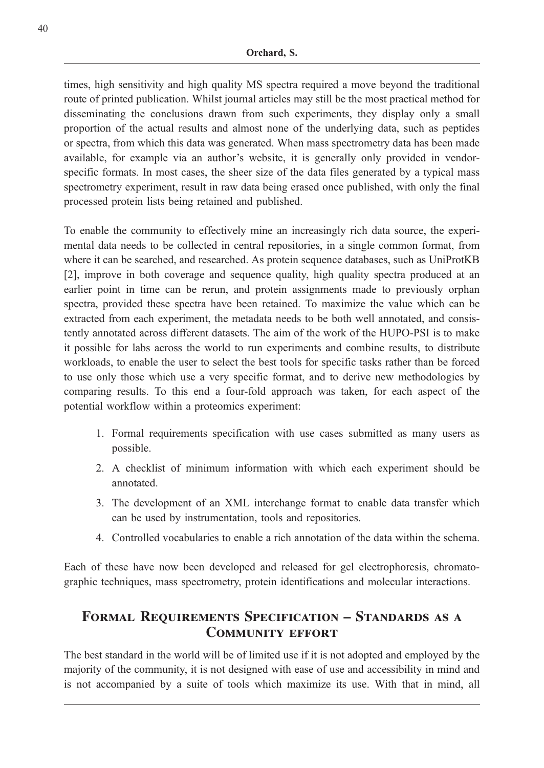times, high sensitivity and high quality MS spectra required a move beyond the traditional route of printed publication. Whilst journal articles may still be the most practical method for disseminating the conclusions drawn from such experiments, they display only a small proportion of the actual results and almost none of the underlying data, such as peptides or spectra, from which this data was generated. When mass spectrometry data has been made available, for example via an author's website, it is generally only provided in vendorspecific formats. In most cases, the sheer size of the data files generated by a typical mass spectrometry experiment, result in raw data being erased once published, with only the final processed protein lists being retained and published.

To enable the community to effectively mine an increasingly rich data source, the experimental data needs to be collected in central repositories, in a single common format, from where it can be searched, and researched. As protein sequence databases, such as UniProtKB [2], improve in both coverage and sequence quality, high quality spectra produced at an earlier point in time can be rerun, and protein assignments made to previously orphan spectra, provided these spectra have been retained. To maximize the value which can be extracted from each experiment, the metadata needs to be both well annotated, and consistently annotated across different datasets. The aim of the work of the HUPO-PSI is to make it possible for labs across the world to run experiments and combine results, to distribute workloads, to enable the user to select the best tools for specific tasks rather than be forced to use only those which use a very specific format, and to derive new methodologies by comparing results. To this end a four-fold approach was taken, for each aspect of the potential workflow within a proteomics experiment:

- 1. Formal requirements specification with use cases submitted as many users as possible.
- 2. A checklist of minimum information with which each experiment should be annotated.
- 3. The development of an XML interchange format to enable data transfer which can be used by instrumentation, tools and repositories.
- 4. Controlled vocabularies to enable a rich annotation of the data within the schema.

Each of these have now been developed and released for gel electrophoresis, chromatographic techniques, mass spectrometry, protein identifications and molecular interactions.

## Formal Requirements Specification – Standards as a COMMUNITY EFFORT

The best standard in the world will be of limited use if it is not adopted and employed by the majority of the community, it is not designed with ease of use and accessibility in mind and is not accompanied by a suite of tools which maximize its use. With that in mind, all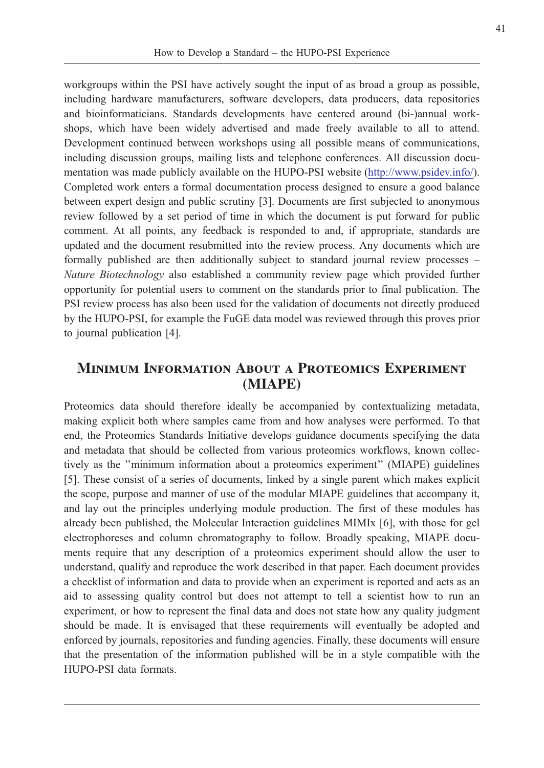41

workgroups within the PSI have actively sought the input of as broad a group as possible, including hardware manufacturers, software developers, data producers, data repositories and bioinformaticians. Standards developments have centered around (bi-)annual workshops, which have been widely advertised and made freely available to all to attend. Development continued between workshops using all possible means of communications, including discussion groups, mailing lists and telephone conferences. All discussion documentation was made publicly available on the HUPO-PSI website (http://www.psidev.info/). Completed work enters a formal documentation process designed to ensure a good balance between expert design and public scrutiny [3]. Documents are first subjected to anonymous review followed by a set period of time in which the document is put forward for public comment. At all points, any feedback is responded to and, if appropriate, standards are updated and the document resubmitted into the review process. Any documents which are formally published are then additionally subject to standard journal review processes – Nature Biotechnology also established a community review page which provided further opportunity for potential users to comment on the standards prior to final publication. The PSI review process has also been used for the validation of documents not directly produced by the HUPO-PSI, for example the FuGE data model was reviewed through this proves prior to journal publication [4].

## Minimum Information About a Proteomics Experiment (MIAPE)

Proteomics data should therefore ideally be accompanied by contextualizing metadata, making explicit both where samples came from and how analyses were performed. To that end, the Proteomics Standards Initiative develops guidance documents specifying the data and metadata that should be collected from various proteomics workflows, known collectively as the ''minimum information about a proteomics experiment'' (MIAPE) guidelines [5]. These consist of a series of documents, linked by a single parent which makes explicit the scope, purpose and manner of use of the modular MIAPE guidelines that accompany it, and lay out the principles underlying module production. The first of these modules has already been published, the Molecular Interaction guidelines MIMIx [6], with those for gel electrophoreses and column chromatography to follow. Broadly speaking, MIAPE documents require that any description of a proteomics experiment should allow the user to understand, qualify and reproduce the work described in that paper. Each document provides a checklist of information and data to provide when an experiment is reported and acts as an aid to assessing quality control but does not attempt to tell a scientist how to run an experiment, or how to represent the final data and does not state how any quality judgment should be made. It is envisaged that these requirements will eventually be adopted and enforced by journals, repositories and funding agencies. Finally, these documents will ensure that the presentation of the information published will be in a style compatible with the HUPO-PSI data formats.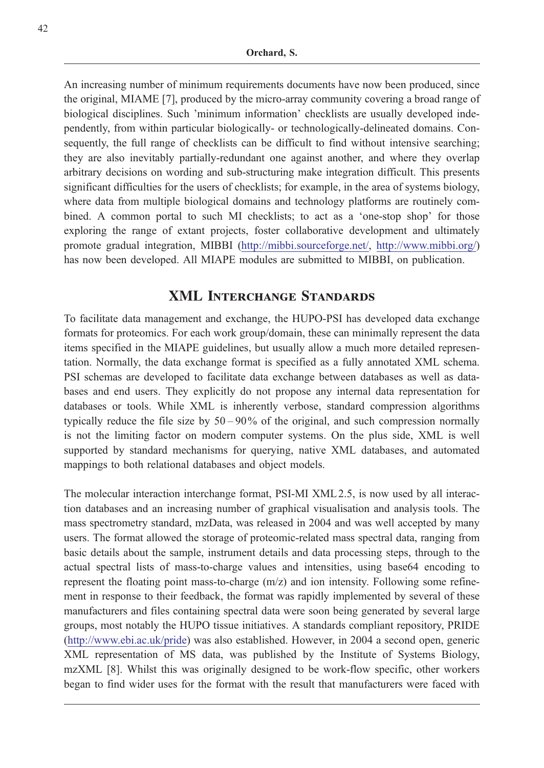An increasing number of minimum requirements documents have now been produced, since the original, MIAME [7], produced by the micro-array community covering a broad range of biological disciplines. Such 'minimum information' checklists are usually developed independently, from within particular biologically- or technologically-delineated domains. Consequently, the full range of checklists can be difficult to find without intensive searching; they are also inevitably partially-redundant one against another, and where they overlap arbitrary decisions on wording and sub-structuring make integration difficult. This presents significant difficulties for the users of checklists; for example, in the area of systems biology, where data from multiple biological domains and technology platforms are routinely combined. A common portal to such MI checklists; to act as a 'one-stop shop' for those exploring the range of extant projects, foster collaborative development and ultimately promote gradual integration, MIBBI (http://mibbi.sourceforge.net/, http://www.mibbi.org/) has now been developed. All MIAPE modules are submitted to MIBBI, on publication.

#### XML Interchange Standards

To facilitate data management and exchange, the HUPO-PSI has developed data exchange formats for proteomics. For each work group/domain, these can minimally represent the data items specified in the MIAPE guidelines, but usually allow a much more detailed representation. Normally, the data exchange format is specified as a fully annotated XML schema. PSI schemas are developed to facilitate data exchange between databases as well as databases and end users. They explicitly do not propose any internal data representation for databases or tools. While XML is inherently verbose, standard compression algorithms typically reduce the file size by  $50 - 90\%$  of the original, and such compression normally is not the limiting factor on modern computer systems. On the plus side, XML is well supported by standard mechanisms for querying, native XML databases, and automated mappings to both relational databases and object models.

The molecular interaction interchange format, PSI-MI XML 2.5, is now used by all interaction databases and an increasing number of graphical visualisation and analysis tools. The mass spectrometry standard, mzData, was released in 2004 and was well accepted by many users. The format allowed the storage of proteomic-related mass spectral data, ranging from basic details about the sample, instrument details and data processing steps, through to the actual spectral lists of mass-to-charge values and intensities, using base64 encoding to represent the floating point mass-to-charge  $(m/z)$  and ion intensity. Following some refinement in response to their feedback, the format was rapidly implemented by several of these manufacturers and files containing spectral data were soon being generated by several large groups, most notably the HUPO tissue initiatives. A standards compliant repository, PRIDE (http://www.ebi.ac.uk/pride) was also established. However, in 2004 a second open, generic XML representation of MS data, was published by the Institute of Systems Biology, mzXML [8]. Whilst this was originally designed to be work-flow specific, other workers began to find wider uses for the format with the result that manufacturers were faced with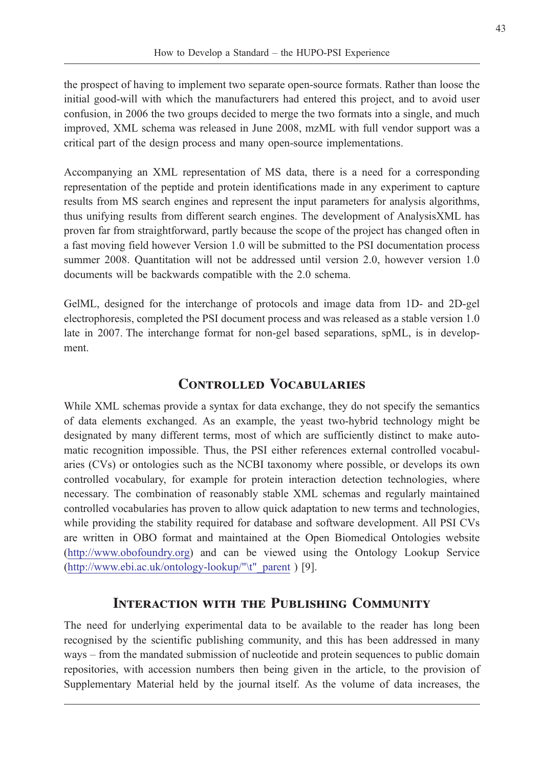the prospect of having to implement two separate open-source formats. Rather than loose the initial good-will with which the manufacturers had entered this project, and to avoid user confusion, in 2006 the two groups decided to merge the two formats into a single, and much improved, XML schema was released in June 2008, mzML with full vendor support was a critical part of the design process and many open-source implementations.

Accompanying an XML representation of MS data, there is a need for a corresponding representation of the peptide and protein identifications made in any experiment to capture results from MS search engines and represent the input parameters for analysis algorithms, thus unifying results from different search engines. The development of AnalysisXML has proven far from straightforward, partly because the scope of the project has changed often in a fast moving field however Version 1.0 will be submitted to the PSI documentation process summer 2008. Quantitation will not be addressed until version 2.0, however version 1.0 documents will be backwards compatible with the 2.0 schema.

GelML, designed for the interchange of protocols and image data from 1D- and 2D-gel electrophoresis, completed the PSI document process and was released as a stable version 1.0 late in 2007. The interchange format for non-gel based separations, spML, is in development.

## Controlled Vocabularies

While XML schemas provide a syntax for data exchange, they do not specify the semantics of data elements exchanged. As an example, the yeast two-hybrid technology might be designated by many different terms, most of which are sufficiently distinct to make automatic recognition impossible. Thus, the PSI either references external controlled vocabularies (CVs) or ontologies such as the NCBI taxonomy where possible, or develops its own controlled vocabulary, for example for protein interaction detection technologies, where necessary. The combination of reasonably stable XML schemas and regularly maintained controlled vocabularies has proven to allow quick adaptation to new terms and technologies, while providing the stability required for database and software development. All PSI CVs are written in OBO format and maintained at the Open Biomedical Ontologies website (http://www.obofoundry.org) and can be viewed using the Ontology Lookup Service (http://www.ebi.ac.uk/ontology-lookup/"\t"\_parent ) [9].

#### Interaction with the Publishing Community

The need for underlying experimental data to be available to the reader has long been recognised by the scientific publishing community, and this has been addressed in many ways – from the mandated submission of nucleotide and protein sequences to public domain repositories, with accession numbers then being given in the article, to the provision of Supplementary Material held by the journal itself. As the volume of data increases, the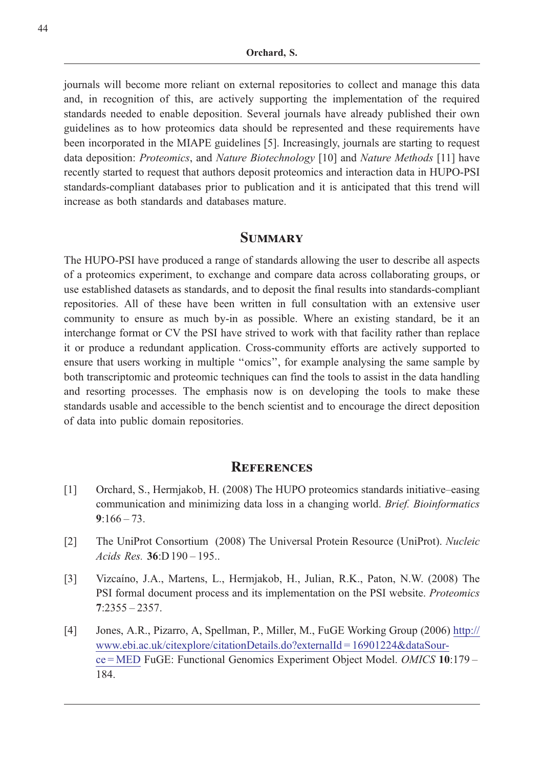journals will become more reliant on external repositories to collect and manage this data and, in recognition of this, are actively supporting the implementation of the required standards needed to enable deposition. Several journals have already published their own guidelines as to how proteomics data should be represented and these requirements have been incorporated in the MIAPE guidelines [5]. Increasingly, journals are starting to request data deposition: Proteomics, and Nature Biotechnology [10] and Nature Methods [11] have recently started to request that authors deposit proteomics and interaction data in HUPO-PSI standards-compliant databases prior to publication and it is anticipated that this trend will increase as both standards and databases mature.

#### **SUMMARY**

The HUPO-PSI have produced a range of standards allowing the user to describe all aspects of a proteomics experiment, to exchange and compare data across collaborating groups, or use established datasets as standards, and to deposit the final results into standards-compliant repositories. All of these have been written in full consultation with an extensive user community to ensure as much by-in as possible. Where an existing standard, be it an interchange format or CV the PSI have strived to work with that facility rather than replace it or produce a redundant application. Cross-community efforts are actively supported to ensure that users working in multiple ''omics'', for example analysing the same sample by both transcriptomic and proteomic techniques can find the tools to assist in the data handling and resorting processes. The emphasis now is on developing the tools to make these standards usable and accessible to the bench scientist and to encourage the direct deposition of data into public domain repositories.

#### **REFERENCES**

- [1] Orchard, S., Hermjakob, H. (2008) The HUPO proteomics standards initiative–easing communication and minimizing data loss in a changing world. Brief. Bioinformatics  $9:166 - 73.$
- [2] The UniProt Consortium (2008) The Universal Protein Resource (UniProt). Nucleic Acids Res. 36:D 190 – 195..
- [3] Vizcaíno, J.A., Martens, L., Hermjakob, H., Julian, R.K., Paton, N.W. (2008) The PSI formal document process and its implementation on the PSI website. Proteomics 7:2355 – 2357.
- [4] Jones, A.R., Pizarro, A, Spellman, P., Miller, M., FuGE Working Group (2006) http:// www.ebi.ac.uk/citexplore/citationDetails.do?externalId = 16901224&dataSource = MED FuGE: Functional Genomics Experiment Object Model. OMICS 10:179 – 184.